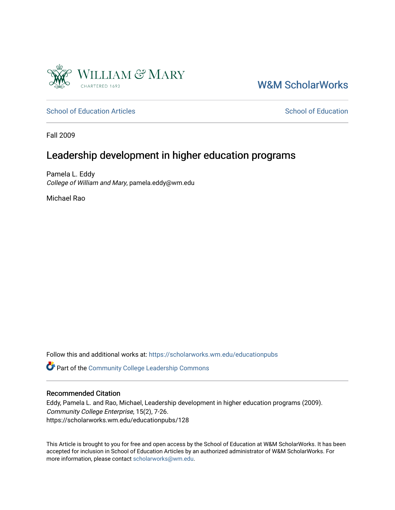

# [W&M ScholarWorks](https://scholarworks.wm.edu/)

[School of Education Articles](https://scholarworks.wm.edu/educationpubs) [School of Education](https://scholarworks.wm.edu/education) School of Education

Fall 2009

# Leadership development in higher education programs

Pamela L. Eddy College of William and Mary, pamela.eddy@wm.edu

Michael Rao

Follow this and additional works at: [https://scholarworks.wm.edu/educationpubs](https://scholarworks.wm.edu/educationpubs?utm_source=scholarworks.wm.edu%2Feducationpubs%2F128&utm_medium=PDF&utm_campaign=PDFCoverPages) 

Part of the [Community College Leadership Commons](http://network.bepress.com/hgg/discipline/1039?utm_source=scholarworks.wm.edu%2Feducationpubs%2F128&utm_medium=PDF&utm_campaign=PDFCoverPages)

#### Recommended Citation

Eddy, Pamela L. and Rao, Michael, Leadership development in higher education programs (2009). Community College Enterprise, 15(2), 7-26. https://scholarworks.wm.edu/educationpubs/128

This Article is brought to you for free and open access by the School of Education at W&M ScholarWorks. It has been accepted for inclusion in School of Education Articles by an authorized administrator of W&M ScholarWorks. For more information, please contact [scholarworks@wm.edu](mailto:scholarworks@wm.edu).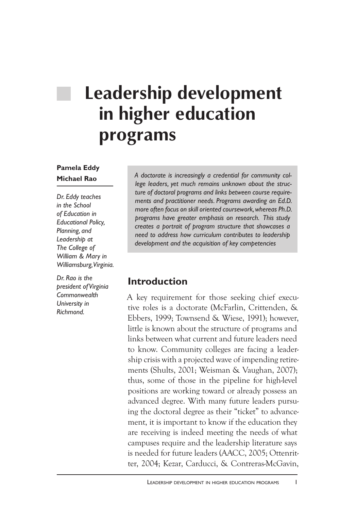# **Leadership development in higher education programs**

#### **Pamela Eddy Michael Rao**

*Dr. Eddy teaches in the School of Education in Educational Policy, Planning, and Leadership at The College of William & Mary in Williamsburg, Virginia.*

*Dr. Rao is the president of Virginia Commonwealth University in Richmond.*

*A doctorate is increasingly a credential for community college leaders, yet much remains unknown about the structure of doctoral programs and links between course requirements and practitioner needs. Programs awarding an Ed.D. more often focus on skill oriented coursework, whereas Ph.D. programs have greater emphasis on research. This study creates a portrait of program structure that showcases a need to address how curriculum contributes to leadership development and the acquisition of key competencies*

## **Introduction**

A key requirement for those seeking chief executive roles is a doctorate (McFarlin, Crittenden, & Ebbers, 1999; Townsend & Wiese, 1991); however, little is known about the structure of programs and links between what current and future leaders need to know. Community colleges are facing a leadership crisis with a projected wave of impending retirements (Shults, 2001; Weisman & Vaughan, 2007); thus, some of those in the pipeline for high-level positions are working toward or already possess an advanced degree. With many future leaders pursuing the doctoral degree as their "ticket" to advancement, it is important to know if the education they are receiving is indeed meeting the needs of what campuses require and the leadership literature says is needed for future leaders (AACC, 2005; Ottenritter, 2004; Kezar, Carducci, & Contreras-McGavin,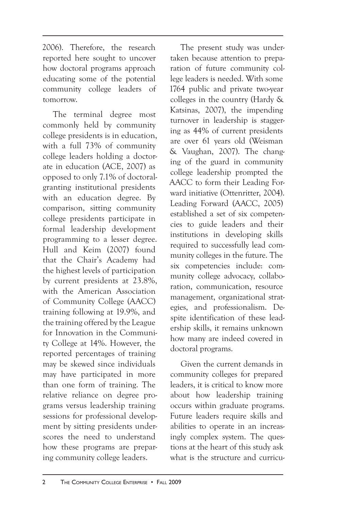2006). Therefore, the research reported here sought to uncover how doctoral programs approach educating some of the potential community college leaders of tomorrow.

The terminal degree most commonly held by community college presidents is in education, with a full 73% of community college leaders holding a doctorate in education (ACE, 2007) as opposed to only 7.1% of doctoralgranting institutional presidents with an education degree. By comparison, sitting community college presidents participate in formal leadership development programming to a lesser degree. Hull and Keim (2007) found that the Chair's Academy had the highest levels of participation by current presidents at 23.8%, with the American Association of Community College (AACC) training following at 19.9%, and the training offered by the League for Innovation in the Community College at 14%. However, the reported percentages of training may be skewed since individuals may have participated in more than one form of training. The relative reliance on degree programs versus leadership training sessions for professional development by sitting presidents underscores the need to understand how these programs are preparing community college leaders.

The present study was undertaken because attention to preparation of future community college leaders is needed. With some 1764 public and private two-year colleges in the country (Hardy & Katsinas, 2007), the impending turnover in leadership is staggering as 44% of current presidents are over 61 years old (Weisman & Vaughan, 2007). The changing of the guard in community college leadership prompted the AACC to form their Leading Forward initiative (Ottenritter, 2004). Leading Forward (AACC, 2005) established a set of six competencies to guide leaders and their institutions in developing skills required to successfully lead community colleges in the future. The six competencies include: community college advocacy, collaboration, communication, resource management, organizational strategies, and professionalism. Despite identification of these leadership skills, it remains unknown how many are indeed covered in doctoral programs.

Given the current demands in community colleges for prepared leaders, it is critical to know more about how leadership training occurs within graduate programs. Future leaders require skills and abilities to operate in an increasingly complex system. The questions at the heart of this study ask what is the structure and curricu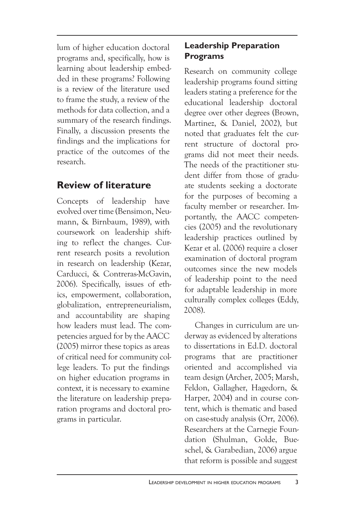lum of higher education doctoral programs and, specifically, how is learning about leadership embedded in these programs? Following is a review of the literature used to frame the study, a review of the methods for data collection, and a summary of the research findings. Finally, a discussion presents the findings and the implications for practice of the outcomes of the research.

## **Review of literature**

Concepts of leadership have evolved over time (Bensimon, Neumann, & Birnbaum, 1989), with coursework on leadership shifting to reflect the changes. Current research posits a revolution in research on leadership (Kezar, Carducci, & Contreras-McGavin, 2006). Specifically, issues of ethics, empowerment, collaboration, globalization, entrepreneurialism, and accountability are shaping how leaders must lead. The competencies argued for by the AACC (2005) mirror these topics as areas of critical need for community college leaders. To put the findings on higher education programs in context, it is necessary to examine the literature on leadership preparation programs and doctoral programs in particular.

## **Leadership Preparation Programs**

Research on community college leadership programs found sitting leaders stating a preference for the educational leadership doctoral degree over other degrees (Brown, Martinez, & Daniel, 2002), but noted that graduates felt the current structure of doctoral programs did not meet their needs. The needs of the practitioner student differ from those of graduate students seeking a doctorate for the purposes of becoming a faculty member or researcher. Importantly, the AACC competencies (2005) and the revolutionary leadership practices outlined by Kezar et al. (2006) require a closer examination of doctoral program outcomes since the new models of leadership point to the need for adaptable leadership in more culturally complex colleges (Eddy, 2008).

Changes in curriculum are underway as evidenced by alterations to dissertations in Ed.D. doctoral programs that are practitioner oriented and accomplished via team design (Archer, 2005; Marsh, Feldon, Gallagher, Hagedorn, & Harper, 2004) and in course content, which is thematic and based on case-study analysis (Orr, 2006). Researchers at the Carnegie Foundation (Shulman, Golde, Bueschel, & Garabedian, 2006) argue that reform is possible and suggest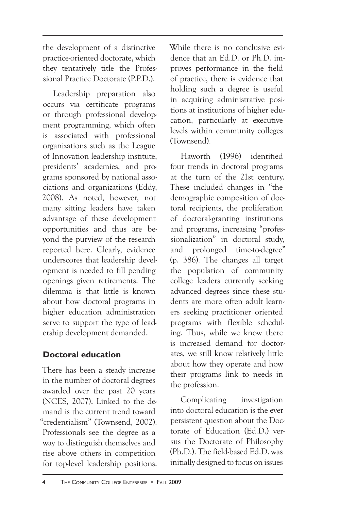the development of a distinctive practice-oriented doctorate, which they tentatively title the Professional Practice Doctorate (P.P.D.).

Leadership preparation also occurs via certificate programs or through professional development programming, which often is associated with professional organizations such as the League of Innovation leadership institute, presidents' academies, and programs sponsored by national associations and organizations (Eddy, 2008). As noted, however, not many sitting leaders have taken advantage of these development opportunities and thus are beyond the purview of the research reported here. Clearly, evidence underscores that leadership development is needed to fill pending openings given retirements. The dilemma is that little is known about how doctoral programs in higher education administration serve to support the type of leadership development demanded.

## **Doctoral education**

There has been a steady increase in the number of doctoral degrees awarded over the past 20 years (NCES, 2007). Linked to the demand is the current trend toward "credentialism" (Townsend, 2002). Professionals see the degree as a way to distinguish themselves and rise above others in competition for top-level leadership positions.

While there is no conclusive evidence that an Ed.D. or Ph.D. improves performance in the field of practice, there is evidence that holding such a degree is useful in acquiring administrative positions at institutions of higher education, particularly at executive levels within community colleges (Townsend).

Haworth (1996) identified four trends in doctoral programs at the turn of the 21st century. These included changes in "the demographic composition of doctoral recipients, the proliferation of doctoral-granting institutions and programs, increasing "professionalization" in doctoral study, and prolonged time-to-degree" (p. 386). The changes all target the population of community college leaders currently seeking advanced degrees since these students are more often adult learners seeking practitioner oriented programs with flexible scheduling. Thus, while we know there is increased demand for doctorates, we still know relatively little about how they operate and how their programs link to needs in the profession.

Complicating investigation into doctoral education is the ever persistent question about the Doctorate of Education (Ed.D.) versus the Doctorate of Philosophy (Ph.D.). The field-based Ed.D. was initially designed to focus on issues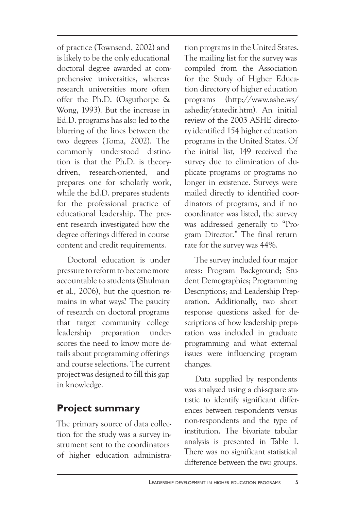of practice (Townsend, 2002) and is likely to be the only educational doctoral degree awarded at comprehensive universities, whereas research universities more often offer the Ph.D. (Osguthorpe & Wong, 1993). But the increase in Ed.D. programs has also led to the blurring of the lines between the two degrees (Toma, 2002). The commonly understood distinction is that the Ph.D. is theorydriven, research-oriented, and prepares one for scholarly work, while the Ed.D. prepares students for the professional practice of educational leadership. The present research investigated how the degree offerings differed in course content and credit requirements.

Doctoral education is under pressure to reform to become more accountable to students (Shulman et al., 2006), but the question remains in what ways? The paucity of research on doctoral programs that target community college leadership preparation underscores the need to know more details about programming offerings and course selections. The current project was designed to fill this gap in knowledge.

## **Project summary**

The primary source of data collection for the study was a survey instrument sent to the coordinators of higher education administration programs in the United States. The mailing list for the survey was compiled from the Association for the Study of Higher Education directory of higher education programs (http://www.ashe.ws/ ashedir/statedir.htm). An initial review of the 2003 ASHE directory identified 154 higher education programs in the United States. Of the initial list, 149 received the survey due to elimination of duplicate programs or programs no longer in existence. Surveys were mailed directly to identified coordinators of programs, and if no coordinator was listed, the survey was addressed generally to "Program Director." The final return rate for the survey was 44%.

The survey included four major areas: Program Background; Student Demographics; Programming Descriptions; and Leadership Preparation. Additionally, two short response questions asked for descriptions of how leadership preparation was included in graduate programming and what external issues were influencing program changes.

Data supplied by respondents was analyzed using a chi-square statistic to identify significant differences between respondents versus non-respondents and the type of institution. The bivariate tabular analysis is presented in Table 1. There was no significant statistical difference between the two groups.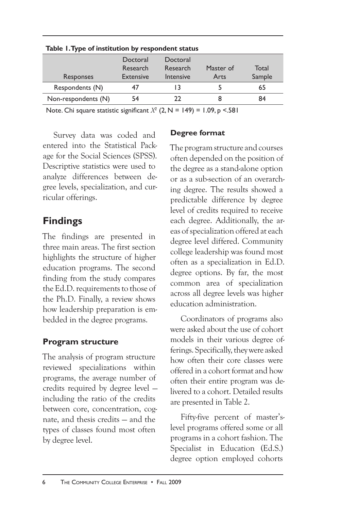| <b>Responses</b>    | Doctoral<br>Research<br><b>Extensive</b> | Doctoral<br>Research<br>Intensive | Master of<br>Arts | Total<br>Sample |  |  |  |
|---------------------|------------------------------------------|-----------------------------------|-------------------|-----------------|--|--|--|
| Respondents (N)     | 47                                       |                                   |                   | 65              |  |  |  |
| Non-respondents (N) | 54                                       | つつ                                |                   | 84              |  |  |  |
|                     |                                          |                                   |                   |                 |  |  |  |

**Table 1. Type of institution by respondent status**

Note. Chi square statistic significant  $X^2$  (2, N = 149) = 1.09, p <.581

Survey data was coded and entered into the Statistical Package for the Social Sciences (SPSS). Descriptive statistics were used to analyze differences between degree levels, specialization, and curricular offerings.

## **Findings**

The findings are presented in three main areas. The first section highlights the structure of higher education programs. The second finding from the study compares the Ed.D. requirements to those of the Ph.D. Finally, a review shows how leadership preparation is embedded in the degree programs.

#### **Program structure**

The analysis of program structure reviewed specializations within programs, the average number of credits required by degree level including the ratio of the credits between core, concentration, cognate, and thesis credits — and the types of classes found most often by degree level.

#### **Degree format**

The program structure and courses often depended on the position of the degree as a stand-alone option or as a sub-section of an overarching degree. The results showed a predictable difference by degree level of credits required to receive each degree. Additionally, the areas of specialization offered at each degree level differed. Community college leadership was found most often as a specialization in Ed.D. degree options. By far, the most common area of specialization across all degree levels was higher education administration.

Coordinators of programs also were asked about the use of cohort models in their various degree offerings. Specifically, they were asked how often their core classes were offered in a cohort format and how often their entire program was delivered to a cohort. Detailed results are presented in Table 2.

Fifty-five percent of master'slevel programs offered some or all programs in a cohort fashion. The Specialist in Education (Ed.S.) degree option employed cohorts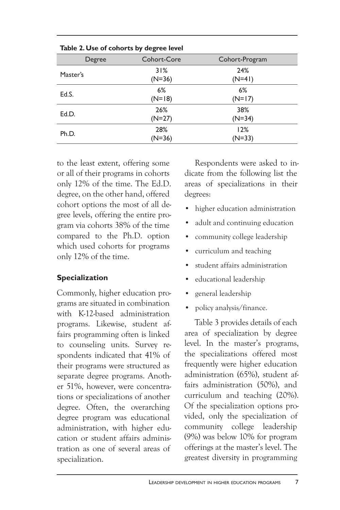| rable 2. Ose of collor is by degree level |  |                 |                 |  |  |
|-------------------------------------------|--|-----------------|-----------------|--|--|
| Degree                                    |  | Cohort-Core     | Cohort-Program  |  |  |
| Master's                                  |  | 31%<br>$(N=36)$ | 24%<br>$(N=41)$ |  |  |
| Ed.S.                                     |  | 6%<br>$(N=18)$  | 6%<br>$(N=17)$  |  |  |
| Ed.D.                                     |  | 26%<br>$(N=27)$ | 38%<br>$(N=34)$ |  |  |
| Ph.D.                                     |  | 28%<br>$(N=36)$ | 12%<br>$(N=33)$ |  |  |

**Table 2. Use of cohorts by degree level**

to the least extent, offering some or all of their programs in cohorts only 12% of the time. The Ed.D. degree, on the other hand, offered cohort options the most of all degree levels, offering the entire program via cohorts 38% of the time compared to the Ph.D. option which used cohorts for programs only 12% of the time.

#### **Specialization**

Commonly, higher education programs are situated in combination with K-12-based administration programs. Likewise, student affairs programming often is linked to counseling units. Survey respondents indicated that 41% of their programs were structured as separate degree programs. Another 51%, however, were concentrations or specializations of another degree. Often, the overarching degree program was educational administration, with higher education or student affairs administration as one of several areas of specialization.

Respondents were asked to indicate from the following list the areas of specializations in their degrees:

- higher education administration
- adult and continuing education
- community college leadership
- curriculum and teaching
- student affairs administration
- educational leadership
- general leadership
- policy analysis/finance.

Table 3 provides details of each area of specialization by degree level. In the master's programs, the specializations offered most frequently were higher education administration (65%), student affairs administration (50%), and curriculum and teaching (20%). Of the specialization options provided, only the specialization of community college leadership (9%) was below 10% for program offerings at the master's level. The greatest diversity in programming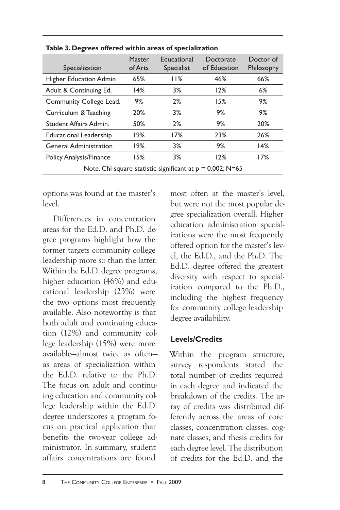| Specialization                                               | Master<br>of Arts | Educational<br>Specialist | Doctorate<br>of Education | Doctor of<br>Philosophy |  |
|--------------------------------------------------------------|-------------------|---------------------------|---------------------------|-------------------------|--|
| <b>Higher Education Admin</b>                                | 65%               | 11%                       | 46%                       | 66%                     |  |
| Adult & Continuing Ed.                                       | 14%               | 3%                        | 12%                       | 6%                      |  |
| Community College Lead.                                      | 9%                | 2%                        | 15%                       | 9%                      |  |
| Curriculum & Teaching                                        | 20%               | 3%                        | 9%                        | 9%                      |  |
| <b>Student Affairs Admin.</b>                                | 50%               | 2%                        | 9%                        | 20%                     |  |
| <b>Educational Leadership</b>                                | 19%               | 17%                       | 23%                       | 26%                     |  |
| <b>General Administration</b>                                | 19%               | 3%                        | 9%                        | 14%                     |  |
| Policy Analysis/Finance                                      | 15%               | 3%                        | 12%                       | 17%                     |  |
| Note. Chi square statistic significant at $p = 0.002$ ; N=65 |                   |                           |                           |                         |  |

**Table 3. Degrees offered within areas of specialization**

options was found at the master's level.

Differences in concentration areas for the Ed.D. and Ph.D. degree programs highlight how the former targets community college leadership more so than the latter. Within the Ed.D. degree programs, higher education (46%) and educational leadership (23%) were the two options most frequently available. Also noteworthy is that both adult and continuing education (12%) and community college leadership (15%) were more available—almost twice as often as areas of specialization within the Ed.D. relative to the Ph.D. The focus on adult and continuing education and community college leadership within the Ed.D. degree underscores a program focus on practical application that benefits the two-year college administrator. In summary, student affairs concentrations are found

most often at the master's level, but were not the most popular degree specialization overall. Higher education administration specializations were the most frequently offered option for the master's level, the Ed.D., and the Ph.D. The Ed.D. degree offered the greatest diversity with respect to specialization compared to the Ph.D., including the highest frequency for community college leadership degree availability.

#### **Levels/Credits**

Within the program structure, survey respondents stated the total number of credits required in each degree and indicated the breakdown of the credits. The array of credits was distributed differently across the areas of core classes, concentration classes, cognate classes, and thesis credits for each degree level. The distribution of credits for the Ed.D. and the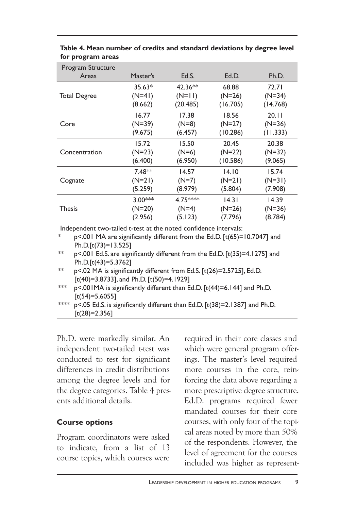| Program Structure   |           |           |          |          |
|---------------------|-----------|-----------|----------|----------|
| Areas               | Master's  | Ed.S.     | Ed.D.    | Ph.D.    |
|                     | $35.63*$  | $42.36**$ | 68.88    | 72.71    |
| <b>Total Degree</b> | $(N=4)$   | $(N=11)$  | $(N=26)$ | $(N=34)$ |
|                     | (8.662)   | (20.485)  | (16.705) | (14.768) |
|                     | 16.77     | 17.38     | 18.56    | 20.11    |
| Core                | $(N=39)$  | (N=8)     | (N=27)   | $(N=36)$ |
|                     | (9.675)   | (6.457)   | (10.286) | (11.333) |
|                     | 15.72     | 15.50     | 20.45    | 20.38    |
| Concentration       | $(N=23)$  | $(N=6)$   | $(N=22)$ | $(N=32)$ |
|                     | (6.400)   | (6.950)   | (10.586) | (9.065)  |
|                     | 7.48**    | 14.57     | 14.10    | 15.74    |
| Cognate             | $(N=21)$  | (N=7)     | $(N=21)$ | $(N=31)$ |
|                     | (5.259)   | (8.979)   | (5.804)  | (7.908)  |
|                     | $3.00***$ | 4.75****  | 14.31    | 14.39    |
| <b>Thesis</b>       | $(N=20)$  | $(N=4)$   | $(N=26)$ | $(N=36)$ |
|                     | (2.956)   | (5.123)   | (7.796)  | (8.784)  |
|                     |           |           |          |          |

**Table 4. Mean number of credits and standard deviations by degree level for program areas**

Independent two-tailed t-test at the noted confidence intervals:

| $p$ <.001 MA are significantly different from the Ed.D. [t(65)=10.7047] and |  |  |  |
|-----------------------------------------------------------------------------|--|--|--|
| Ph.D.[t(73)=13.525]                                                         |  |  |  |
|                                                                             |  |  |  |

 $*$  p<.001 Ed.S. are significantly different from the Ed.D. [ $t(35)=4.1275$ ] and Ph.D.[t(43)=5.3762]

 $*$  p<.02 MA is significantly different from Ed.S. [t(26)=2.5725], Ed.D. [t(40)=3.8733], and Ph.D. [t(50)=4.1929]

\*\*\* p<.001MA is significantly different than Ed.D. [t(44)=6.144] and Ph.D.  $[t(54)=5.6055]$ 

\*\*\*\* p<.05 Ed.S. is significantly different than Ed.D. [t(38)=2.1387] and Ph.D.  $[t(28)=2.356]$ 

Ph.D. were markedly similar. An independent two-tailed t-test was conducted to test for significant differences in credit distributions among the degree levels and for the degree categories. Table 4 presents additional details.

#### **Course options**

Program coordinators were asked to indicate, from a list of 13 course topics, which courses were required in their core classes and which were general program offerings. The master's level required more courses in the core, reinforcing the data above regarding a more prescriptive degree structure. Ed.D. programs required fewer mandated courses for their core courses, with only four of the topical areas noted by more than 50% of the respondents. However, the level of agreement for the courses included was higher as represent-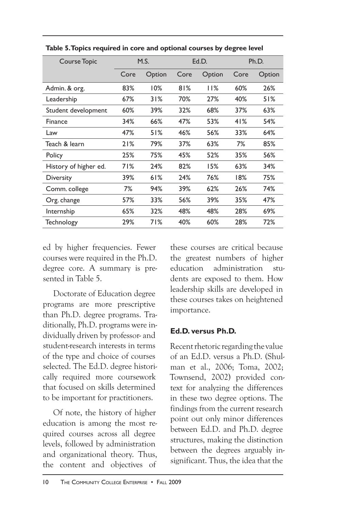| <b>Course Topic</b>   | M.S. |        | Ed.D. |        | Ph.D. |        |
|-----------------------|------|--------|-------|--------|-------|--------|
|                       | Core | Option | Core  | Option | Core  | Option |
| Admin. & org.         | 83%  | 10%    | 81%   | 11%    | 60%   | 26%    |
| Leadership            | 67%  | 31%    | 70%   | 27%    | 40%   | 51%    |
| Student development   | 60%  | 39%    | 32%   | 68%    | 37%   | 63%    |
| Finance               | 34%  | 66%    | 47%   | 53%    | 41%   | 54%    |
| Law                   | 47%  | 51%    | 46%   | 56%    | 33%   | 64%    |
| Teach & learn         | 21%  | 79%    | 37%   | 63%    | 7%    | 85%    |
| Policy                | 25%  | 75%    | 45%   | 52%    | 35%   | 56%    |
| History of higher ed. | 71%  | 24%    | 82%   | 15%    | 63%   | 34%    |
| <b>Diversity</b>      | 39%  | 61%    | 24%   | 76%    | 18%   | 75%    |
| Comm. college         | 7%   | 94%    | 39%   | 62%    | 26%   | 74%    |
| Org. change           | 57%  | 33%    | 56%   | 39%    | 35%   | 47%    |
| Internship            | 65%  | 32%    | 48%   | 48%    | 28%   | 69%    |
| Technology            | 29%  | 71%    | 40%   | 60%    | 28%   | 72%    |

**Table 5. Topics required in core and optional courses by degree level**

ed by higher frequencies. Fewer courses were required in the Ph.D. degree core. A summary is presented in Table 5.

Doctorate of Education degree programs are more prescriptive than Ph.D. degree programs. Traditionally, Ph.D. programs were individually driven by professor- and student-research interests in terms of the type and choice of courses selected. The Ed.D. degree historically required more coursework that focused on skills determined to be important for practitioners.

Of note, the history of higher education is among the most required courses across all degree levels, followed by administration and organizational theory. Thus, the content and objectives of

these courses are critical because the greatest numbers of higher education administration students are exposed to them. How leadership skills are developed in these courses takes on heightened importance.

#### **Ed.D. versus Ph.D.**

Recent rhetoric regarding the value of an Ed.D. versus a Ph.D. (Shulman et al., 2006; Toma, 2002; Townsend, 2002) provided context for analyzing the differences in these two degree options. The findings from the current research point out only minor differences between Ed.D. and Ph.D. degree structures, making the distinction between the degrees arguably insignificant. Thus, the idea that the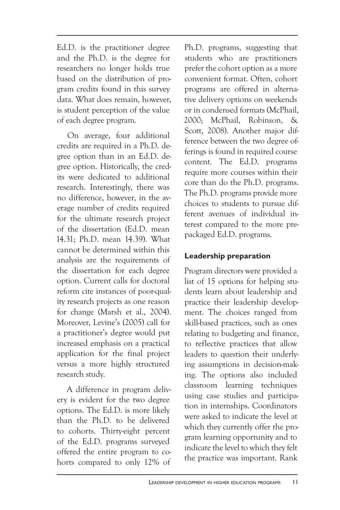Ed.D. is the practitioner degree and the Ph.D. is the degree for researchers no longer holds true based on the distribution of program credits found in this survey data. What does remain, however, is student perception of the value of each degree program.

On average, four additional credits are required in a Ph.D. degree option than in an Ed.D. degree option. Historically, the credits were dedicated to additional research. Interestingly, there was no difference, however, in the average number of credits required for the ultimate research project of the dissertation (Ed.D. mean 14.31; Ph.D. mean 14.39). What cannot be determined within this analysis are the requirements of the dissertation for each degree option. Current calls for doctoral reform cite instances of poor-quality research projects as one reason for change (Marsh et al., 2004). Moreover, Levine's (2005) call for a practitioner's degree would put increased emphasis on a practical application for the final project versus a more highly structured research study.

A difference in program delivery is evident for the two degree options. The Ed.D. is more likely than the Ph.D. to be delivered to cohorts. Thirty-eight percent of the Ed.D. programs surveyed offered the entire program to cohorts compared to only 12% of

Ph.D. programs, suggesting that students who are practitioners prefer the cohort option as a more convenient format. Often, cohort programs are offered in alternative delivery options on weekends or in condensed formats (McPhail, 2000; McPhail, Robinson, & Scott, 2008). Another major difference between the two degree offerings is found in required course content. The Ed.D. programs require more courses within their core than do the Ph.D. programs. The Ph.D. programs provide more choices to students to pursue different avenues of individual interest compared to the more prepackaged Ed.D. programs.

#### **Leadership preparation**

Program directors were provided a list of 15 options for helping students learn about leadership and practice their leadership development. The choices ranged from skill-based practices, such as ones relating to budgeting and finance, to reflective practices that allow leaders to question their underlying assumptions in decision-making. The options also included classroom learning techniques using case studies and participation in internships. Coordinators were asked to indicate the level at which they currently offer the program learning opportunity and to indicate the level to which they felt the practice was important. Rank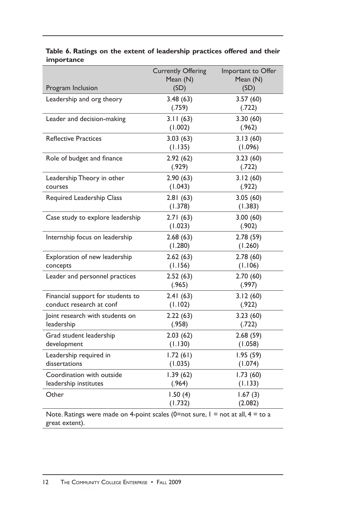|                                                                                                       | <b>Currently Offering</b><br>Mean (N) | Important to Offer<br>Mean (N) |
|-------------------------------------------------------------------------------------------------------|---------------------------------------|--------------------------------|
| Program Inclusion                                                                                     | (SD)                                  | (SD)                           |
| Leadership and org theory                                                                             | 3.48(63)<br>(.759)                    | 3.57(60)<br>(.722)             |
| Leader and decision-making                                                                            | 3.11(63)<br>(1.002)                   | 3.30(60)<br>(.962)             |
| <b>Reflective Practices</b>                                                                           | 3.03(63)<br>(1.135)                   | 3.13(60)<br>(1.096)            |
| Role of budget and finance                                                                            | 2.92(62)<br>(.929)                    | 3.23(60)<br>(.722)             |
| Leadership Theory in other<br>courses                                                                 | 2.90(63)<br>(1.043)                   | 3.12(60)<br>(.922)             |
| Required Leadership Class                                                                             | 2.81(63)<br>(1.378)                   | 3.05(60)<br>(1.383)            |
| Case study to explore leadership                                                                      | 2.71(63)<br>(1.023)                   | 3.00(60)<br>(.902)             |
| Internship focus on leadership                                                                        | 2.68(63)<br>(1.280)                   | 2.78(59)<br>(1.260)            |
| Exploration of new leadership<br>concepts                                                             | 2.62(63)<br>(1.156)                   | 2.78(60)<br>(1.106)            |
| Leader and personnel practices                                                                        | 2.52(63)<br>(.965)                    | 2.70(60)<br>(.997)             |
| Financial support for students to<br>conduct research at conf                                         | 2.41(63)<br>(1.102)                   | 3.12(60)<br>(.922)             |
| Joint research with students on<br>leadership                                                         | 2.22(63)<br>(.958)                    | 3.23(60)<br>(.722)             |
| Grad student leadership<br>development                                                                | 2.03(62)<br>(1.130)                   | 2.68(59)<br>(1.058)            |
| Leadership required in<br>dissertations                                                               | 1.72(61)<br>(1.035)                   | 1.95(59)<br>(1.074)            |
| Coordination with outside<br>leadership institutes                                                    | 1.39(62)<br>(.964)                    | 1.73(60)<br>(1.133)            |
| Other                                                                                                 | 1.50(4)<br>(1.732)                    | 1.67(3)<br>(2.082)             |
| Note. Ratings were made on 4-point scales (0=not sure, $l =$ not at all, $4 =$ to a<br>great extent). |                                       |                                |

#### **Table 6. Ratings on the extent of leadership practices offered and their importance**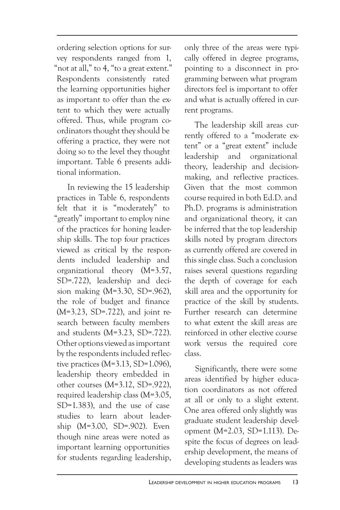ordering selection options for survey respondents ranged from 1, "not at all," to 4, "to a great extent." Respondents consistently rated the learning opportunities higher as important to offer than the extent to which they were actually offered. Thus, while program coordinators thought they should be offering a practice, they were not doing so to the level they thought important. Table 6 presents additional information.

In reviewing the 15 leadership practices in Table 6, respondents felt that it is "moderately" to "greatly" important to employ nine of the practices for honing leadership skills. The top four practices viewed as critical by the respondents included leadership and organizational theory (M=3.57, SD=.722), leadership and decision making (M=3.30, SD=.962), the role of budget and finance (M=3.23, SD=.722), and joint research between faculty members and students (M=3.23, SD=.722). Other options viewed as important by the respondents included reflective practices  $(M=3.13, SD=1.096)$ , leadership theory embedded in other courses (M=3.12, SD=.922), required leadership class (M=3.05, SD=1.383), and the use of case studies to learn about leadership (M=3.00, SD=.902). Even though nine areas were noted as important learning opportunities for students regarding leadership,

only three of the areas were typically offered in degree programs, pointing to a disconnect in programming between what program directors feel is important to offer and what is actually offered in current programs.

The leadership skill areas currently offered to a "moderate extent" or a "great extent" include leadership and organizational theory, leadership and decisionmaking, and reflective practices. Given that the most common course required in both Ed.D. and Ph.D. programs is administration and organizational theory, it can be inferred that the top leadership skills noted by program directors as currently offered are covered in this single class. Such a conclusion raises several questions regarding the depth of coverage for each skill area and the opportunity for practice of the skill by students. Further research can determine to what extent the skill areas are reinforced in other elective course work versus the required core class.

Significantly, there were some areas identified by higher education coordinators as not offered at all or only to a slight extent. One area offered only slightly was graduate student leadership development (M=2.03, SD=1.113). Despite the focus of degrees on leadership development, the means of developing students as leaders was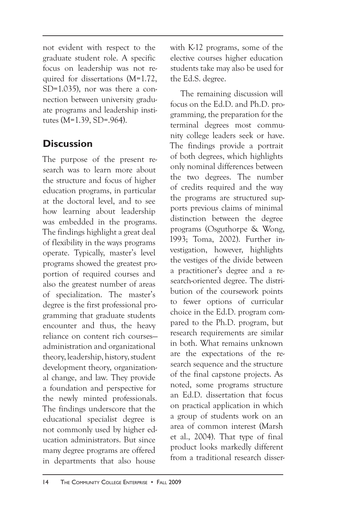not evident with respect to the graduate student role. A specific focus on leadership was not required for dissertations (M=1.72, SD=1.035), nor was there a connection between university graduate programs and leadership institutes (M=1.39, SD=.964).

# **Discussion**

The purpose of the present research was to learn more about the structure and focus of higher education programs, in particular at the doctoral level, and to see how learning about leadership was embedded in the programs. The findings highlight a great deal of flexibility in the ways programs operate. Typically, master's level programs showed the greatest proportion of required courses and also the greatest number of areas of specialization. The master's degree is the first professional programming that graduate students encounter and thus, the heavy reliance on content rich courses administration and organizational theory, leadership, history, student development theory, organizational change, and law. They provide a foundation and perspective for the newly minted professionals. The findings underscore that the educational specialist degree is not commonly used by higher education administrators. But since many degree programs are offered in departments that also house

with K-12 programs, some of the elective courses higher education students take may also be used for the Ed.S. degree.

The remaining discussion will focus on the Ed.D. and Ph.D. programming, the preparation for the terminal degrees most community college leaders seek or have. The findings provide a portrait of both degrees, which highlights only nominal differences between the two degrees. The number of credits required and the way the programs are structured supports previous claims of minimal distinction between the degree programs (Osguthorpe & Wong, 1993; Toma, 2002). Further investigation, however, highlights the vestiges of the divide between a practitioner's degree and a research-oriented degree. The distribution of the coursework points to fewer options of curricular choice in the Ed.D. program compared to the Ph.D. program, but research requirements are similar in both. What remains unknown are the expectations of the research sequence and the structure of the final capstone projects. As noted, some programs structure an Ed.D. dissertation that focus on practical application in which a group of students work on an area of common interest (Marsh et al., 2004). That type of final product looks markedly different from a traditional research disser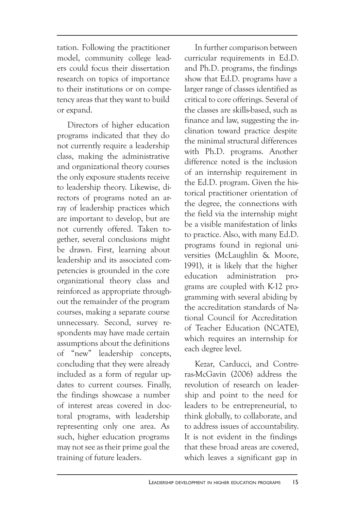tation. Following the practitioner model, community college leaders could focus their dissertation research on topics of importance to their institutions or on competency areas that they want to build or expand.

Directors of higher education programs indicated that they do not currently require a leadership class, making the administrative and organizational theory courses the only exposure students receive to leadership theory. Likewise, directors of programs noted an array of leadership practices which are important to develop, but are not currently offered. Taken together, several conclusions might be drawn. First, learning about leadership and its associated competencies is grounded in the core organizational theory class and reinforced as appropriate throughout the remainder of the program courses, making a separate course unnecessary. Second, survey respondents may have made certain assumptions about the definitions of "new" leadership concepts, concluding that they were already included as a form of regular updates to current courses. Finally, the findings showcase a number of interest areas covered in doctoral programs, with leadership representing only one area. As such, higher education programs may not see as their prime goal the training of future leaders.

In further comparison between curricular requirements in Ed.D. and Ph.D. programs, the findings show that Ed.D. programs have a larger range of classes identified as critical to core offerings. Several of the classes are skills-based, such as finance and law, suggesting the inclination toward practice despite the minimal structural differences with Ph.D. programs. Another difference noted is the inclusion of an internship requirement in the Ed.D. program. Given the historical practitioner orientation of the degree, the connections with the field via the internship might be a visible manifestation of links to practice. Also, with many Ed.D. programs found in regional universities (McLaughlin & Moore, 1991), it is likely that the higher education administration programs are coupled with K-12 programming with several abiding by the accreditation standards of National Council for Accreditation of Teacher Education (NCATE), which requires an internship for each degree level.

Kezar, Carducci, and Contreras-McGavin (2006) address the revolution of research on leadership and point to the need for leaders to be entrepreneurial, to think globally, to collaborate, and to address issues of accountability. It is not evident in the findings that these broad areas are covered, which leaves a significant gap in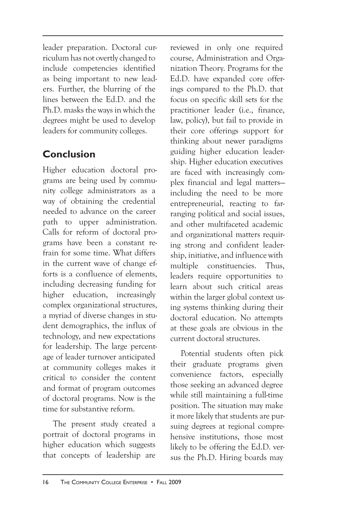leader preparation. Doctoral curriculum has not overtly changed to include competencies identified as being important to new leaders. Further, the blurring of the lines between the Ed.D. and the Ph.D. masks the ways in which the degrees might be used to develop leaders for community colleges.

## **Conclusion**

Higher education doctoral programs are being used by community college administrators as a way of obtaining the credential needed to advance on the career path to upper administration. Calls for reform of doctoral programs have been a constant refrain for some time. What differs in the current wave of change efforts is a confluence of elements, including decreasing funding for higher education, increasingly complex organizational structures, a myriad of diverse changes in student demographics, the influx of technology, and new expectations for leadership. The large percentage of leader turnover anticipated at community colleges makes it critical to consider the content and format of program outcomes of doctoral programs. Now is the time for substantive reform.

The present study created a portrait of doctoral programs in higher education which suggests that concepts of leadership are reviewed in only one required course, Administration and Organization Theory. Programs for the Ed.D. have expanded core offerings compared to the Ph.D. that focus on specific skill sets for the practitioner leader (i.e., finance, law, policy), but fail to provide in their core offerings support for thinking about newer paradigms guiding higher education leadership. Higher education executives are faced with increasingly complex financial and legal matters including the need to be more entrepreneurial, reacting to farranging political and social issues, and other multifaceted academic and organizational matters requiring strong and confident leadership, initiative, and influence with multiple constituencies. Thus, leaders require opportunities to learn about such critical areas within the larger global context using systems thinking during their doctoral education. No attempts at these goals are obvious in the current doctoral structures.

Potential students often pick their graduate programs given convenience factors, especially those seeking an advanced degree while still maintaining a full-time position. The situation may make it more likely that students are pursuing degrees at regional comprehensive institutions, those most likely to be offering the Ed.D. versus the Ph.D. Hiring boards may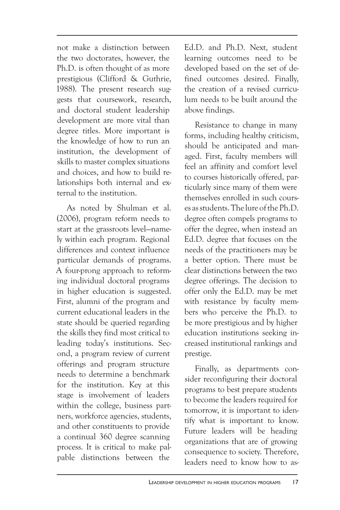not make a distinction between the two doctorates, however, the Ph.D. is often thought of as more prestigious (Clifford & Guthrie, 1988). The present research suggests that coursework, research, and doctoral student leadership development are more vital than degree titles. More important is the knowledge of how to run an institution, the development of skills to master complex situations and choices, and how to build relationships both internal and external to the institution.

As noted by Shulman et al. (2006), program reform needs to start at the grassroots level—namely within each program. Regional differences and context influence particular demands of programs. A four-prong approach to reforming individual doctoral programs in higher education is suggested. First, alumni of the program and current educational leaders in the state should be queried regarding the skills they find most critical to leading today's institutions. Second, a program review of current offerings and program structure needs to determine a benchmark for the institution. Key at this stage is involvement of leaders within the college, business partners, workforce agencies, students, and other constituents to provide a continual 360 degree scanning process. It is critical to make palpable distinctions between the

Ed.D. and Ph.D. Next, student learning outcomes need to be developed based on the set of defined outcomes desired. Finally, the creation of a revised curriculum needs to be built around the above findings.

Resistance to change in many forms, including healthy criticism, should be anticipated and managed. First, faculty members will feel an affinity and comfort level to courses historically offered, particularly since many of them were themselves enrolled in such courses as students. The lure of the Ph.D. degree often compels programs to offer the degree, when instead an Ed.D. degree that focuses on the needs of the practitioners may be a better option. There must be clear distinctions between the two degree offerings. The decision to offer only the Ed.D. may be met with resistance by faculty members who perceive the Ph.D. to be more prestigious and by higher education institutions seeking increased institutional rankings and prestige.

Finally, as departments consider reconfiguring their doctoral programs to best prepare students to become the leaders required for tomorrow, it is important to identify what is important to know. Future leaders will be heading organizations that are of growing consequence to society. Therefore, leaders need to know how to as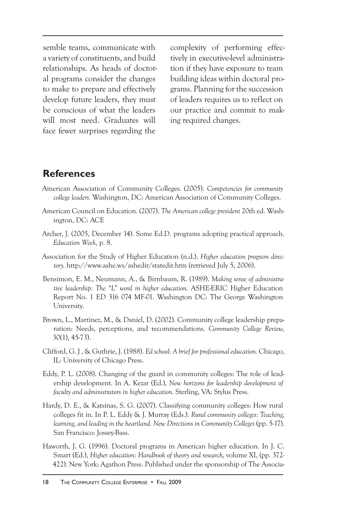semble teams, communicate with a variety of constituents, and build relationships. As heads of doctoral programs consider the changes to make to prepare and effectively develop future leaders, they must be conscious of what the leaders will most need. Graduates will face fewer surprises regarding the

complexity of performing effectively in executive-level administration if they have exposure to team building ideas within doctoral programs. Planning for the succession of leaders requires us to reflect on our practice and commit to making required changes.

## **References**

- American Association of Community Colleges. (2005). *Competencies for community college leaders.* Washington, DC: American Association of Community Colleges.
- American Council on Education. (2007). *The American college president* 20th ed. Washington, DC: ACE
- Archer, J. (2005, December 14). Some Ed.D. programs adopting practical approach. *Education Week,* p. 8.
- Association for the Study of Higher Education (n.d.). *Higher education program directory.* http://www.ashe.ws/ashedir/statedir.htm (retrieved July 5, 2006).
- Bensimon, E. M., Neumann, A., & Birnbaum, R. (1989). *Making sense of administrative leadership: The "L" word in higher education*. ASHE-ERIC Higher Education Report No. 1 ED 316 074 MF-01. Washington DC: The George Washington University.
- Brown, L., Martinez, M., & Daniel, D. (2002). Community college leadership preparation: Needs, perceptions, and recommendations. *Community College Review,*  30(1), 45-73).
- Clifford, G. J , & Guthrie, J. (1988). *Ed school: A brief for professional education.* Chicago, IL: University of Chicago Press.
- Eddy, P. L. (2008). Changing of the guard in community colleges: The role of leadership development. In A. Kezar (Ed.), *New horizons for leadership development of faculty and administrators in higher education.* Sterling, VA: Stylus Press.
- Hardy, D. E., & Katsinas, S. G. (2007). Classifying community colleges: How rural colleges fit in. In P. L. Eddy & J. Murray (Eds.). *Rural community colleges: Teaching, learning, and leading in the heartland. New Directions in Community Colleges* (pp. 5-17). San Francisco: Jossey-Bass.
- Haworth, J. G. (1996). Doctoral programs in American higher education. In J. C. Smart (Ed.), *Higher education: Handbook of theory and research,* volume XI, (pp. 372- 422). New York: Agathon Press. Published under the sponsorship of The Associa-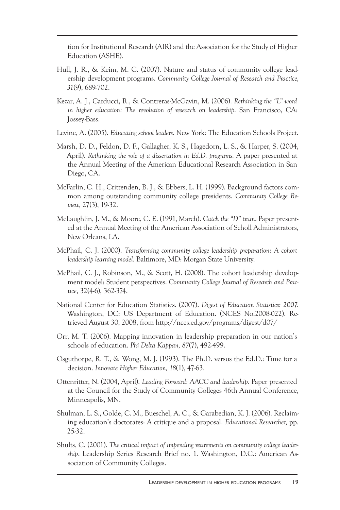tion for Institutional Research (AIR) and the Association for the Study of Higher Education (ASHE).

- Hull, J. R., & Keim, M. C. (2007). Nature and status of community college leadership development programs. *Community College Journal of Research and Practice, 31*(9), 689-702.
- Kezar, A. J., Carducci, R., & Contreras-McGavin, M. (2006). *Rethinking the "L" word in higher education: The revolution of research on leadership*. San Francisco, CA: Jossey-Bass.
- Levine, A. (2005). *Educating school leaders*. New York: The Education Schools Project.
- Marsh, D. D., Feldon, D. F., Gallagher, K. S., Hagedorn, L. S., & Harper, S. (2004, April). *Rethinking the role of a dissertation in Ed.D. programs.* A paper presented at the Annual Meeting of the American Educational Research Association in San Diego, CA.
- McFarlin, C. H., Crittenden, B. J., & Ebbers, L. H. (1999). Background factors common among outstanding community college presidents. *Community College Review,* 27(3), 19-32.
- McLaughlin, J. M., & Moore, C. E. (1991, March). *Catch the "D" train*. Paper presented at the Annual Meeting of the American Association of Scholl Administrators, New Orleans, LA.
- McPhail, C. J. (2000). *Transforming community college leadership preparation: A cohort leadership learning model.* Baltimore, MD: Morgan State University.
- McPhail, C. J., Robinson, M., & Scott, H. (2008). The cohort leadership development model: Student perspectives. *Community College Journal of Research and Practice*, 32(4-6), 362-374.
- National Center for Education Statistics. (2007). *Digest of Education Statistics: 2007.*  Washington, DC: US Department of Education. (NCES No.2008-022). Retrieved August 30, 2008, from http://nces.ed.gov/programs/digest/d07/
- Orr, M. T. (2006). Mapping innovation in leadership preparation in our nation's schools of education. *Phi Delta Kappan, 87*(7), 492-499.
- Osguthorpe, R. T., & Wong, M. J. (1993). The Ph.D. versus the Ed.D.: Time for a decision. *Innovate Higher Education, 18*(1), 47-63.
- Ottenritter, N. (2004, April). *Leading Forward: AACC and leadership.* Paper presented at the Council for the Study of Community Colleges 46th Annual Conference, Minneapolis, MN.
- Shulman, L. S., Golde, C. M., Bueschel, A. C., & Garabedian, K. J. (2006). Reclaiming education's doctorates: A critique and a proposal. *Educational Researcher,* pp. 25-32.
- Shults, C. (2001). *The critical impact of impending retirements on community college leadership*. Leadership Series Research Brief no. 1. Washington, D.C.: American Association of Community Colleges.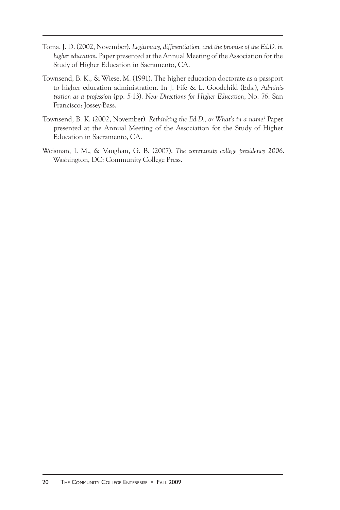- Toma, J. D. (2002, November). *Legitimacy, differentiation, and the promise of the Ed.D. in higher education.* Paper presented at the Annual Meeting of the Association for the Study of Higher Education in Sacramento, CA.
- Townsend, B. K., & Wiese, M. (1991). The higher education doctorate as a passport to higher education administration. In J. Fife & L. Goodchild (Eds.), *Administration as a profession* (pp. 5-13). *New Directions for Higher Education*, No. 76. San Francisco: Jossey-Bass.
- Townsend, B. K. (2002, November). *Rethinking the Ed.D., or What's in a name?* Paper presented at the Annual Meeting of the Association for the Study of Higher Education in Sacramento, CA.
- Weisman, I. M., & Vaughan, G. B. (2007). *The community college presidency 2006*. Washington, DC: Community College Press.